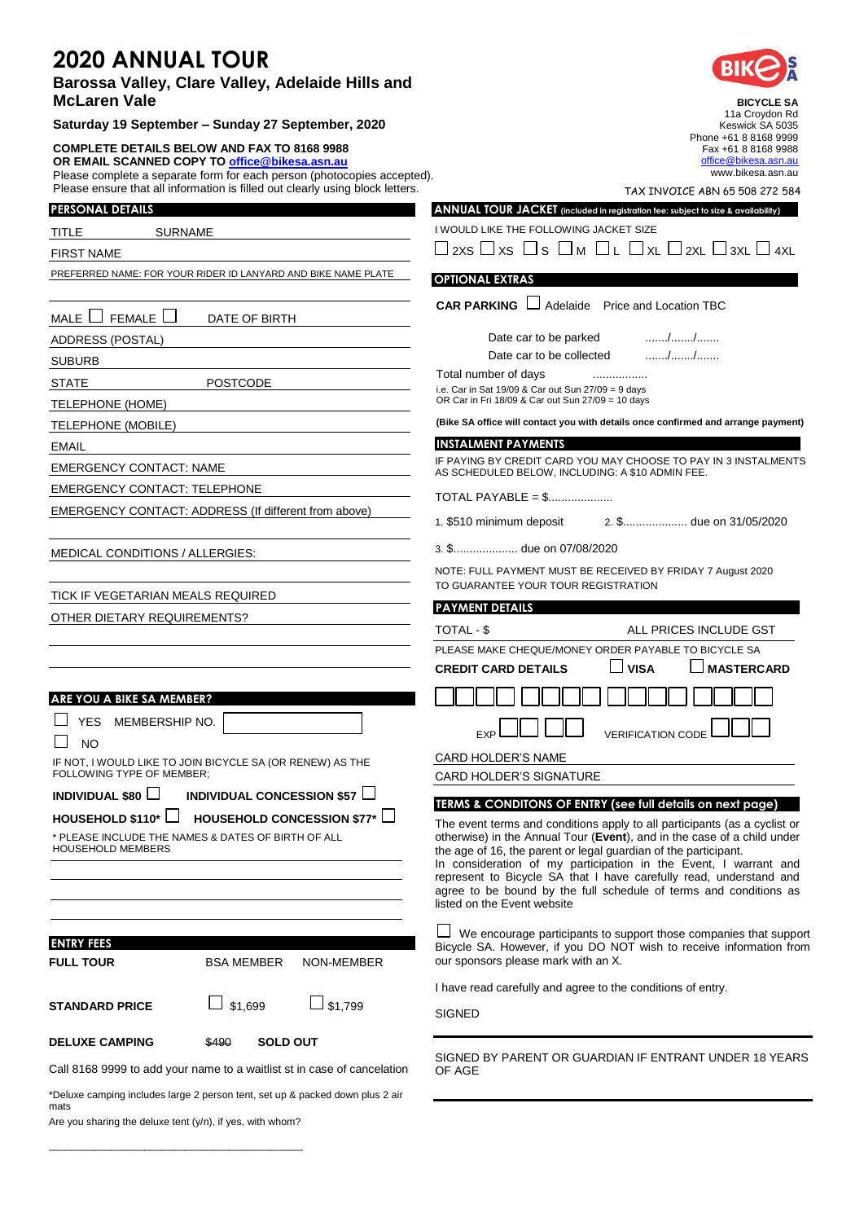## **2020 ANNUAL TOUR**

**Barossa Valley, Clare Valley, Adelaide Hills and McLaren Vale**

**Saturday 19 September – Sunday 27 September, 2020**

**COMPLETE DETAILS BELOW AND FAX TO 8168 9988**

Are you sharing the deluxe tent (y/n), if yes, with whom? \_\_\_\_\_\_\_\_\_\_\_\_\_\_\_\_\_\_\_\_\_\_\_\_\_\_\_\_\_\_\_\_\_\_\_\_\_\_\_\_\_\_\_\_\_

**OR EMAIL SCANNED COPY TO [office@bikesa.asn.au](mailto:office@bikesa.asn.au)** Please complete a separate form for each person (photocopies accepted). Please ensure that all information is filled out clearly using block letters. The match of the state of the TAX INVOICE ABN 65 508 272 584

| <b>PERSONAL DETAILS</b>                                                                                                                 |                            |                | ANNUAL TOUR JACKET (included in registration fee: subject to size & availability)                                                                                                                                                                                                                                                                                                                                                                                     |                                                                                                                       |  |
|-----------------------------------------------------------------------------------------------------------------------------------------|----------------------------|----------------|-----------------------------------------------------------------------------------------------------------------------------------------------------------------------------------------------------------------------------------------------------------------------------------------------------------------------------------------------------------------------------------------------------------------------------------------------------------------------|-----------------------------------------------------------------------------------------------------------------------|--|
| <b>TITLE</b><br><b>SURNAME</b>                                                                                                          |                            |                | I WOULD LIKE THE FOLLOWING JACKET SIZE                                                                                                                                                                                                                                                                                                                                                                                                                                |                                                                                                                       |  |
| <b>FIRST NAME</b>                                                                                                                       |                            |                |                                                                                                                                                                                                                                                                                                                                                                                                                                                                       | $\square$ 2xs $\square$ xs $\square$ s $\square$ m $\square$ l $\square$ xl $\square$ 2xl $\square$ 3xl $\square$ 4xl |  |
| PREFERRED NAME: FOR YOUR RIDER ID LANYARD AND BIKE NAME PLATE                                                                           |                            |                | <b>OPTIONAL EXTRAS</b>                                                                                                                                                                                                                                                                                                                                                                                                                                                |                                                                                                                       |  |
| MALE $\Box$ FEMALE $\Box$                                                                                                               | DATE OF BIRTH              |                | <b>CAR PARKING</b> $\Box$ Adelaide Price and Location TBC                                                                                                                                                                                                                                                                                                                                                                                                             |                                                                                                                       |  |
| ADDRESS (POSTAL)                                                                                                                        |                            |                | Date car to be parked                                                                                                                                                                                                                                                                                                                                                                                                                                                 |                                                                                                                       |  |
| <b>SUBURB</b>                                                                                                                           |                            |                |                                                                                                                                                                                                                                                                                                                                                                                                                                                                       | Date car to be collected                                                                                              |  |
| <b>STATE</b><br><b>POSTCODE</b>                                                                                                         |                            |                | Total number of days                                                                                                                                                                                                                                                                                                                                                                                                                                                  | <br>i.e. Car in Sat 19/09 & Car out Sun 27/09 = 9 days<br>OR Car in Fri 18/09 & Car out Sun 27/09 = 10 days           |  |
| TELEPHONE (HOME)                                                                                                                        |                            |                |                                                                                                                                                                                                                                                                                                                                                                                                                                                                       |                                                                                                                       |  |
| TELEPHONE (MOBILE)                                                                                                                      |                            |                | (Bike SA office will contact you with details once confirmed and arrange payment)                                                                                                                                                                                                                                                                                                                                                                                     |                                                                                                                       |  |
| <b>EMAIL</b>                                                                                                                            |                            |                | <b>INSTALMENT PAYMENTS</b>                                                                                                                                                                                                                                                                                                                                                                                                                                            |                                                                                                                       |  |
| <b>EMERGENCY CONTACT: NAME</b>                                                                                                          |                            |                |                                                                                                                                                                                                                                                                                                                                                                                                                                                                       | IF PAYING BY CREDIT CARD YOU MAY CHOOSE TO PAY IN 3 INSTALMENTS                                                       |  |
| <b>EMERGENCY CONTACT: TELEPHONE</b>                                                                                                     |                            |                | AS SCHEDULED BELOW, INCLUDING: A \$10 ADMIN FEE.                                                                                                                                                                                                                                                                                                                                                                                                                      |                                                                                                                       |  |
| <b>EMERGENCY CONTACT: ADDRESS (If different from above)</b>                                                                             |                            |                | $TOTAL$ PAYABLE = \$                                                                                                                                                                                                                                                                                                                                                                                                                                                  |                                                                                                                       |  |
|                                                                                                                                         |                            |                | 1. \$510 minimum deposit                                                                                                                                                                                                                                                                                                                                                                                                                                              | 2. \$ due on 31/05/2020                                                                                               |  |
| MEDICAL CONDITIONS / ALLERGIES:                                                                                                         |                            |                | 3. \$ due on 07/08/2020                                                                                                                                                                                                                                                                                                                                                                                                                                               |                                                                                                                       |  |
|                                                                                                                                         |                            |                | NOTE: FULL PAYMENT MUST BE RECEIVED BY FRIDAY 7 August 2020                                                                                                                                                                                                                                                                                                                                                                                                           |                                                                                                                       |  |
| TICK IF VEGETARIAN MEALS REQUIRED                                                                                                       |                            |                | TO GUARANTEE YOUR TOUR REGISTRATION                                                                                                                                                                                                                                                                                                                                                                                                                                   |                                                                                                                       |  |
| OTHER DIETARY REQUIREMENTS?                                                                                                             |                            |                | <b>PAYMENT DETAILS</b>                                                                                                                                                                                                                                                                                                                                                                                                                                                |                                                                                                                       |  |
|                                                                                                                                         |                            |                | TOTAL - \$                                                                                                                                                                                                                                                                                                                                                                                                                                                            | ALL PRICES INCLUDE GST                                                                                                |  |
|                                                                                                                                         |                            |                |                                                                                                                                                                                                                                                                                                                                                                                                                                                                       | PLEASE MAKE CHEQUE/MONEY ORDER PAYABLE TO BICYCLE SA                                                                  |  |
|                                                                                                                                         |                            |                | <b>CREDIT CARD DETAILS</b>                                                                                                                                                                                                                                                                                                                                                                                                                                            | <b>VISA</b><br><b>MASTERCARD</b>                                                                                      |  |
| ARE YOU A BIKE SA MEMBER?                                                                                                               |                            |                |                                                                                                                                                                                                                                                                                                                                                                                                                                                                       |                                                                                                                       |  |
| <b>YES</b><br>MEMBERSHIP NO.<br><b>NO</b>                                                                                               |                            |                |                                                                                                                                                                                                                                                                                                                                                                                                                                                                       | <b>VERIFICATION CODE</b>                                                                                              |  |
| IF NOT, I WOULD LIKE TO JOIN BICYCLE SA (OR RENEW) AS THE                                                                               |                            |                | CARD HOLDER'S NAME                                                                                                                                                                                                                                                                                                                                                                                                                                                    |                                                                                                                       |  |
| FOLLOWING TYPE OF MEMBER:                                                                                                               |                            |                | CARD HOLDER'S SIGNATURE                                                                                                                                                                                                                                                                                                                                                                                                                                               |                                                                                                                       |  |
| INDIVIDUAL \$80                                                                                                                         | INDIVIDUAL CONCESSION \$57 |                |                                                                                                                                                                                                                                                                                                                                                                                                                                                                       | TERMS & CONDITONS OF ENTRY (see full details on next page)                                                            |  |
| HOUSEHOLD \$110* $\Box$<br>HOUSEHOLD CONCESSION \$77*<br>* PLEASE INCLUDE THE NAMES & DATES OF BIRTH OF ALL<br><b>HOUSEHOLD MEMBERS</b> |                            |                | The event terms and conditions apply to all participants (as a cyclist or<br>otherwise) in the Annual Tour (Event), and in the case of a child under<br>the age of 16, the parent or legal guardian of the participant.<br>In consideration of my participation in the Event, I warrant and<br>represent to Bicycle SA that I have carefully read, understand and<br>agree to be bound by the full schedule of terms and conditions as<br>listed on the Event website |                                                                                                                       |  |
|                                                                                                                                         |                            |                |                                                                                                                                                                                                                                                                                                                                                                                                                                                                       | We encourage participants to support those companies that support                                                     |  |
| <b>ENTRY FEES</b><br><b>FULL TOUR</b><br>NON-MEMBER<br><b>BSA MEMBER</b>                                                                |                            |                | Bicycle SA. However, if you DO NOT wish to receive information from<br>our sponsors please mark with an X.                                                                                                                                                                                                                                                                                                                                                            |                                                                                                                       |  |
|                                                                                                                                         |                            |                | I have read carefully and agree to the conditions of entry.                                                                                                                                                                                                                                                                                                                                                                                                           |                                                                                                                       |  |
| <b>STANDARD PRICE</b>                                                                                                                   | $\Box$ \$1,699             | $\Box$ \$1,799 | <b>SIGNED</b>                                                                                                                                                                                                                                                                                                                                                                                                                                                         |                                                                                                                       |  |
| <b>DELUXE CAMPING</b>                                                                                                                   | <b>SOLD OUT</b><br>\$490   |                |                                                                                                                                                                                                                                                                                                                                                                                                                                                                       |                                                                                                                       |  |
| Call 8168 9999 to add your name to a waitlist st in case of cancelation                                                                 |                            |                | SIGNED BY PARENT OR GUARDIAN IF ENTRANT UNDER 18 YEARS<br>OF AGE                                                                                                                                                                                                                                                                                                                                                                                                      |                                                                                                                       |  |
| *Deluxe camping includes large 2 person tent, set up & packed down plus 2 air<br>mats                                                   |                            |                |                                                                                                                                                                                                                                                                                                                                                                                                                                                                       |                                                                                                                       |  |



**BICYCLE SA** 11a Croydon Rd Keswick SA 5035 Phone +61 8 8168 9999

Fax +61 8 8168 9988 [office@bikesa.asn.au](mailto:office@bikesa.asn.au) www.bikesa.asn.au